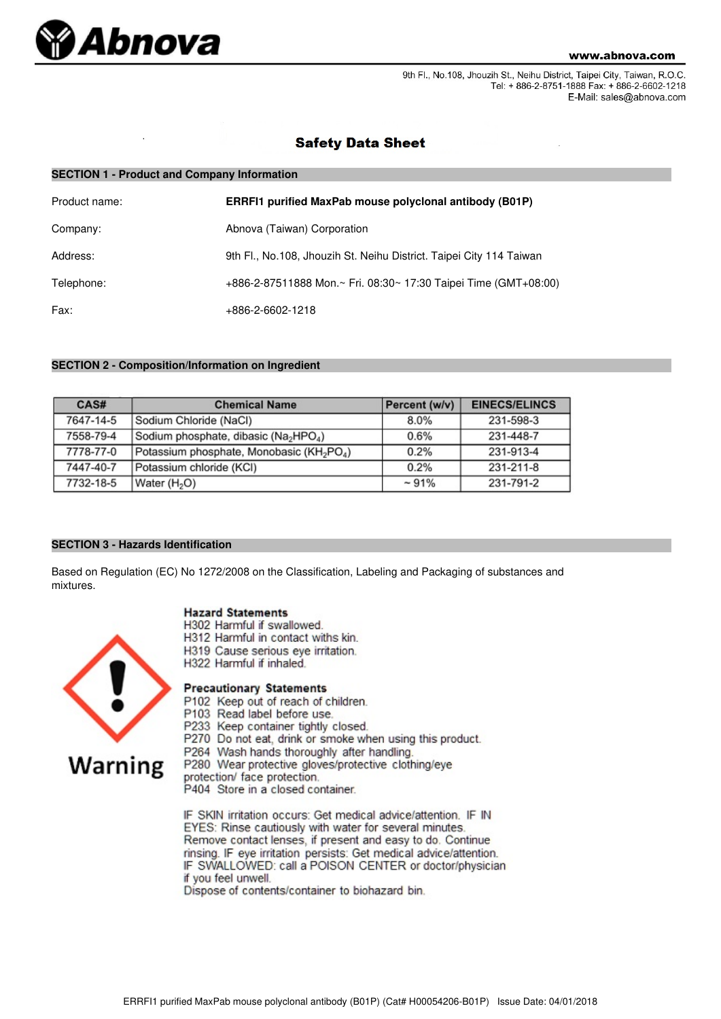

9th Fl., No.108, Jhouzih St., Neihu District, Taipei City, Taiwan, R.O.C. Tel: + 886-2-8751-1888 Fax: + 886-2-6602-1218 E-Mail: sales@abnova.com

## **Safety Data Sheet**

| <b>SECTION 1 - Product and Company Information</b> |                                                                     |  |  |
|----------------------------------------------------|---------------------------------------------------------------------|--|--|
| Product name:                                      | ERRFI1 purified MaxPab mouse polyclonal antibody (B01P)             |  |  |
| Company:                                           | Abnova (Taiwan) Corporation                                         |  |  |
| Address:                                           | 9th Fl., No.108, Jhouzih St. Neihu District. Taipei City 114 Taiwan |  |  |
| Telephone:                                         | +886-2-87511888 Mon.~ Fri. 08:30~ 17:30 Taipei Time (GMT+08:00)     |  |  |
| Fax:                                               | +886-2-6602-1218                                                    |  |  |

## **SECTION 2 - Composition/Information on Ingredient**

| CAS#      | <b>Chemical Name</b>                                              | Percent (w/v) | <b>EINECS/ELINCS</b> |
|-----------|-------------------------------------------------------------------|---------------|----------------------|
| 7647-14-5 | Sodium Chloride (NaCl)                                            | 8.0%          | 231-598-3            |
| 7558-79-4 | Sodium phosphate, dibasic (Na <sub>2</sub> HPO <sub>4</sub> )     | 0.6%          | 231-448-7            |
| 7778-77-0 | Potassium phosphate, Monobasic (KH <sub>2</sub> PO <sub>4</sub> ) | 0.2%          | 231-913-4            |
| 7447-40-7 | Potassium chloride (KCI)                                          | 0.2%          | 231-211-8            |
| 7732-18-5 | Water (H <sub>2</sub> O)                                          | $~1\%$        | 231-791-2            |

## **SECTION 3 - Hazards Identification**

Based on Regulation (EC) No 1272/2008 on the Classification, Labeling and Packaging of substances and mixtures.

#### **Hazard Statements**

- H302 Harmful if swallowed.
- H312 Harmful in contact withs kin.
- H319 Cause serious eye irritation.
- H322 Harmful if inhaled.

# **Warning**

- **Precautionary Statements**
- P102 Keep out of reach of children.
- P103 Read label before use.
- P233 Keep container tightly closed. P270 Do not eat, drink or smoke when using this product.
- P264 Wash hands thoroughly after handling.
- P280 Wear protective gloves/protective clothing/eye

protection/ face protection.

P404 Store in a closed container.

IF SKIN irritation occurs: Get medical advice/attention. IF IN EYES: Rinse cautiously with water for several minutes. Remove contact lenses, if present and easy to do. Continue rinsing. IF eye irritation persists: Get medical advice/attention. IF SWALLOWED: call a POISON CENTER or doctor/physician if you feel unwell.

Dispose of contents/container to biohazard bin.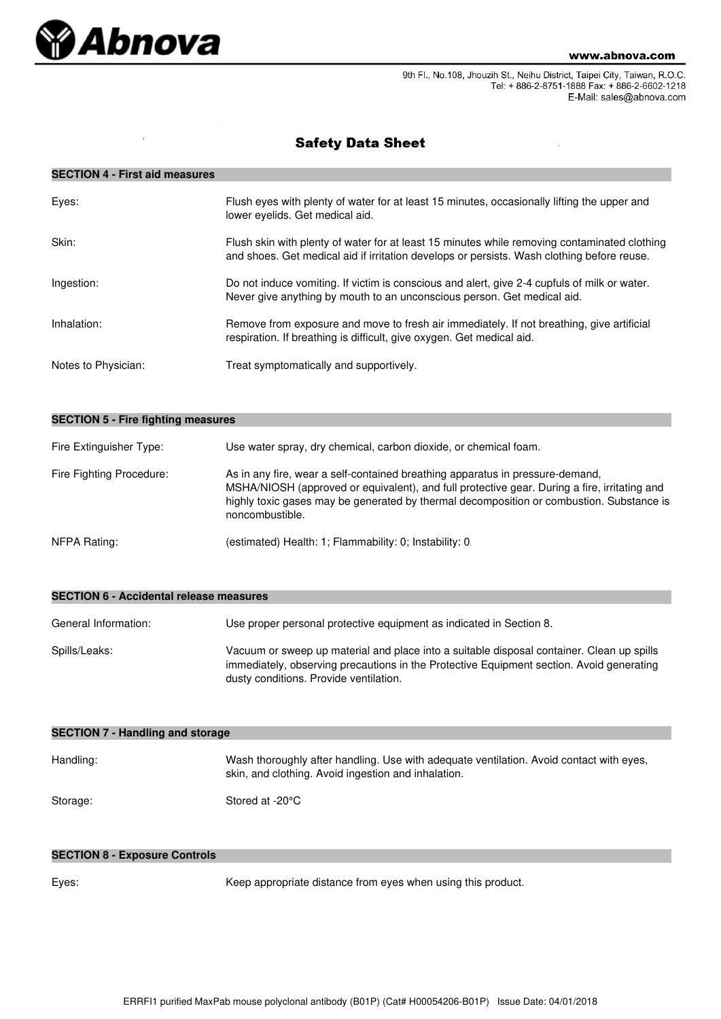

9th Fl., No.108, Jhouzih St., Neihu District, Taipei City, Taiwan, R.O.C. Tel: + 886-2-8751-1888 Fax: + 886-2-6602-1218 E-Mail: sales@abnova.com

# **Safety Data Sheet**

## **SECTION 4 - First aid measures**

| Eyes:               | Flush eyes with plenty of water for at least 15 minutes, occasionally lifting the upper and<br>lower eyelids. Get medical aid.                                                             |
|---------------------|--------------------------------------------------------------------------------------------------------------------------------------------------------------------------------------------|
| Skin:               | Flush skin with plenty of water for at least 15 minutes while removing contaminated clothing<br>and shoes. Get medical aid if irritation develops or persists. Wash clothing before reuse. |
| Ingestion:          | Do not induce vomiting. If victim is conscious and alert, give 2-4 cupfuls of milk or water.<br>Never give anything by mouth to an unconscious person. Get medical aid.                    |
| Inhalation:         | Remove from exposure and move to fresh air immediately. If not breathing, give artificial<br>respiration. If breathing is difficult, give oxygen. Get medical aid.                         |
| Notes to Physician: | Treat symptomatically and supportively.                                                                                                                                                    |

| <b>SECTION 5 - Fire fighting measures</b> |                                                                                                                                                                                                                                                                                              |  |  |
|-------------------------------------------|----------------------------------------------------------------------------------------------------------------------------------------------------------------------------------------------------------------------------------------------------------------------------------------------|--|--|
| Fire Extinguisher Type:                   | Use water spray, dry chemical, carbon dioxide, or chemical foam.                                                                                                                                                                                                                             |  |  |
| Fire Fighting Procedure:                  | As in any fire, wear a self-contained breathing apparatus in pressure-demand,<br>MSHA/NIOSH (approved or equivalent), and full protective gear. During a fire, irritating and<br>highly toxic gases may be generated by thermal decomposition or combustion. Substance is<br>noncombustible. |  |  |
| NFPA Rating:                              | (estimated) Health: 1; Flammability: 0; Instability: 0                                                                                                                                                                                                                                       |  |  |

| SECTION 0 - ACCIDENTAL I EIEASE INEASURES |                                                                                                                                                                                                                                 |  |
|-------------------------------------------|---------------------------------------------------------------------------------------------------------------------------------------------------------------------------------------------------------------------------------|--|
| General Information:                      | Use proper personal protective equipment as indicated in Section 8.                                                                                                                                                             |  |
| Spills/Leaks:                             | Vacuum or sweep up material and place into a suitable disposal container. Clean up spills<br>immediately, observing precautions in the Protective Equipment section. Avoid generating<br>dusty conditions. Provide ventilation. |  |

| <b>SECTION 7 - Handling and storage</b> |                                                                                                                                                |  |  |
|-----------------------------------------|------------------------------------------------------------------------------------------------------------------------------------------------|--|--|
| Handling:                               | Wash thoroughly after handling. Use with adequate ventilation. Avoid contact with eyes,<br>skin, and clothing. Avoid ingestion and inhalation. |  |  |
| Storage:                                | Stored at -20°C                                                                                                                                |  |  |

#### **SECTION 8 - Exposure Controls**

**SECTION 6 - Accidental release measures**

Eyes: Keep appropriate distance from eyes when using this product.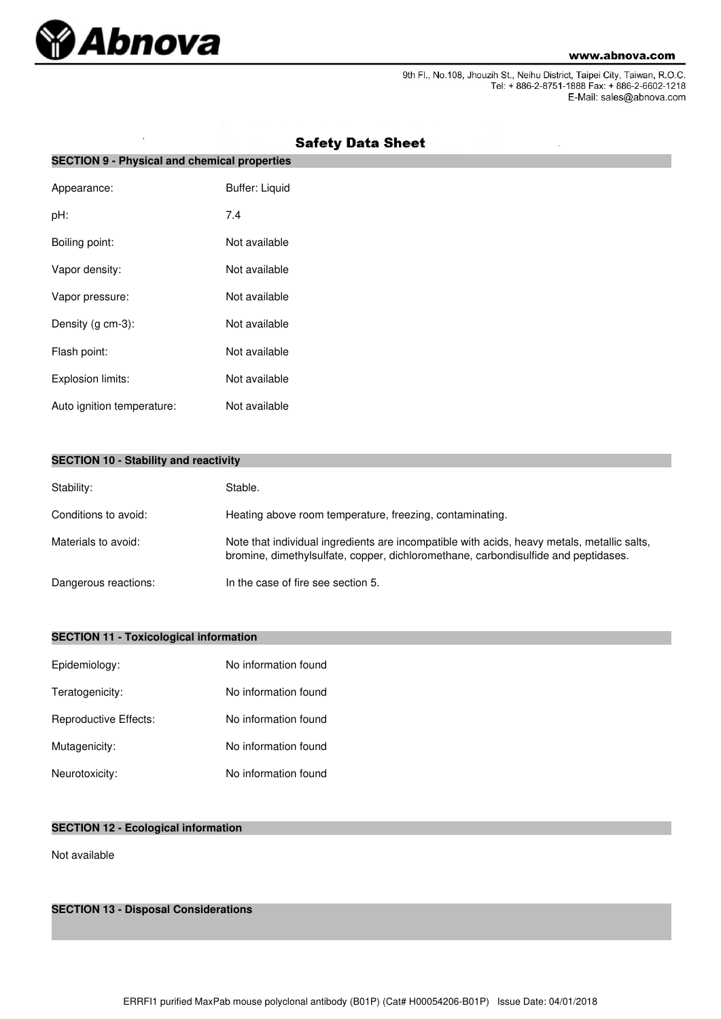

J.

9th Fl., No.108, Jhouzih St., Neihu District, Taipei City, Taiwan, R.O.C.<br>Tel: + 886-2-8751-1888 Fax: + 886-2-6602-1218 E-Mail: sales@abnova.com

| <b>SECTION 9 - Physical and chemical properties</b> |                       |  |  |
|-----------------------------------------------------|-----------------------|--|--|
| Appearance:                                         | <b>Buffer: Liquid</b> |  |  |
| pH:                                                 | 7.4                   |  |  |
| Boiling point:                                      | Not available         |  |  |
| Vapor density:                                      | Not available         |  |  |
| Vapor pressure:                                     | Not available         |  |  |
| Density (g cm-3):                                   | Not available         |  |  |
| Flash point:                                        | Not available         |  |  |
| Explosion limits:                                   | Not available         |  |  |
| Auto ignition temperature:                          | Not available         |  |  |

# **Safety Data Sheet**

|  |  |  |  | <b>SECTION 10 - Stability and reactivity</b> |
|--|--|--|--|----------------------------------------------|
|--|--|--|--|----------------------------------------------|

| Stability:           | Stable.                                                                                                                                                                           |
|----------------------|-----------------------------------------------------------------------------------------------------------------------------------------------------------------------------------|
| Conditions to avoid: | Heating above room temperature, freezing, contaminating.                                                                                                                          |
| Materials to avoid:  | Note that individual ingredients are incompatible with acids, heavy metals, metallic salts,<br>bromine, dimethylsulfate, copper, dichloromethane, carbondisulfide and peptidases. |
| Dangerous reactions: | In the case of fire see section 5.                                                                                                                                                |

## **SECTION 11 - Toxicological information**

| Epidemiology:         | No information found |
|-----------------------|----------------------|
| Teratogenicity:       | No information found |
| Reproductive Effects: | No information found |
| Mutagenicity:         | No information found |
| Neurotoxicity:        | No information found |

## **SECTION 12 - Ecological information**

Not available

**SECTION 13 - Disposal Considerations**